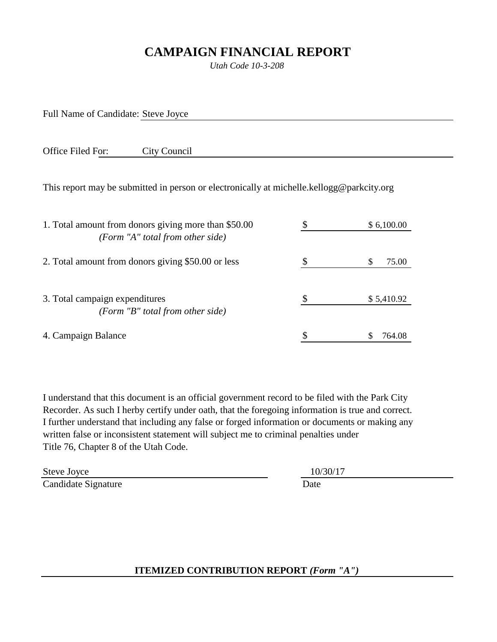## **CAMPAIGN FINANCIAL REPORT**

*Utah Code 10-3-208*

Full Name of Candidate: Steve Joyce

Office Filed For: City Council

This report may be submitted in person or electronically at michelle.kellogg@parkcity.org

| 1. Total amount from donors giving more than \$50.00                 | \$6,100.00 |  |
|----------------------------------------------------------------------|------------|--|
| (Form "A" total from other side)                                     |            |  |
| 2. Total amount from donors giving \$50.00 or less                   | S<br>75.00 |  |
| 3. Total campaign expenditures<br>(Form $"B"$ total from other side) | \$5,410.92 |  |
| 4. Campaign Balance                                                  | 764.08     |  |

I understand that this document is an official government record to be filed with the Park City Recorder. As such I herby certify under oath, that the foregoing information is true and correct. I further understand that including any false or forged information or documents or making any written false or inconsistent statement will subject me to criminal penalties under Title 76, Chapter 8 of the Utah Code.

Steve Joyce 10/30/17 Candidate Signature Date

**ITEMIZED CONTRIBUTION REPORT** *(Form "A")*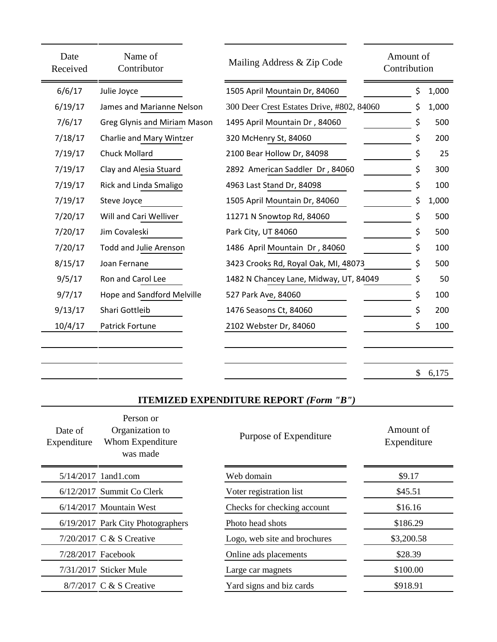| Date<br>Received | Name of<br>Contributor        | Mailing Address & Zip Code                | Amount of<br>Contribution |       |
|------------------|-------------------------------|-------------------------------------------|---------------------------|-------|
| 6/6/17           | Julie Joyce                   | 1505 April Mountain Dr, 84060             | \$                        | 1,000 |
| 6/19/17          | James and Marianne Nelson     | 300 Deer Crest Estates Drive, #802, 84060 | \$                        | 1,000 |
| 7/6/17           | Greg Glynis and Miriam Mason  | 1495 April Mountain Dr, 84060             | \$                        | 500   |
| 7/18/17          | Charlie and Mary Wintzer      | 320 McHenry St, 84060                     |                           | 200   |
| 7/19/17          | Chuck Mollard                 | 2100 Bear Hollow Dr, 84098                |                           | 25    |
| 7/19/17          | Clay and Alesia Stuard        | 2892 American Saddler Dr, 84060           | \$                        | 300   |
| 7/19/17          | Rick and Linda Smaligo        | 4963 Last Stand Dr, 84098                 | \$                        | 100   |
| 7/19/17          | Steve Joyce                   | 1505 April Mountain Dr, 84060             | \$                        | 1,000 |
| 7/20/17          | Will and Cari Welliver        | 11271 N Snowtop Rd, 84060                 | \$                        | 500   |
| 7/20/17          | Jim Covaleski                 | Park City, UT 84060                       | \$                        | 500   |
| 7/20/17          | <b>Todd and Julie Arenson</b> | 1486 April Mountain Dr, 84060             |                           | 100   |
| 8/15/17          | Joan Fernane                  | 3423 Crooks Rd, Royal Oak, MI, 48073      | \$                        | 500   |
| 9/5/17           | Ron and Carol Lee             | 1482 N Chancey Lane, Midway, UT, 84049    | \$                        | 50    |
| 9/7/17           | Hope and Sandford Melville    | 527 Park Ave, 84060                       | \$                        | 100   |
| 9/13/17          | Shari Gottleib                | 1476 Seasons Ct, 84060                    | \$                        | 200   |
| 10/4/17          | Patrick Fortune               | 2102 Webster Dr, 84060                    | \$                        | 100   |
|                  |                               |                                           |                           |       |
|                  |                               |                                           |                           |       |

 $$6,175$ 

## **ITEMIZED EXPENDITURE REPORT** *(Form "B")*

| Date of<br>Expenditure | Person or<br>Organization to<br>Whom Expenditure<br>was made | Purpose of Expenditure       | Amount of<br>Expenditure |
|------------------------|--------------------------------------------------------------|------------------------------|--------------------------|
|                        | $5/14/2017$ 1 and 1.com                                      | Web domain                   | \$9.17                   |
|                        | 6/12/2017 Summit Co Clerk                                    | Voter registration list      | \$45.51                  |
|                        | 6/14/2017 Mountain West                                      | Checks for checking account  | \$16.16                  |
|                        | 6/19/2017 Park City Photographers                            | Photo head shots             | \$186.29                 |
|                        | 7/20/2017 C & S Creative                                     | Logo, web site and brochures | \$3,200.58               |
| 7/28/2017 Facebook     |                                                              | Online ads placements        | \$28.39                  |
|                        | 7/31/2017 Sticker Mule                                       | Large car magnets            | \$100.00                 |
|                        | 8/7/2017 C & S Creative                                      | Yard signs and biz cards     | \$918.91                 |